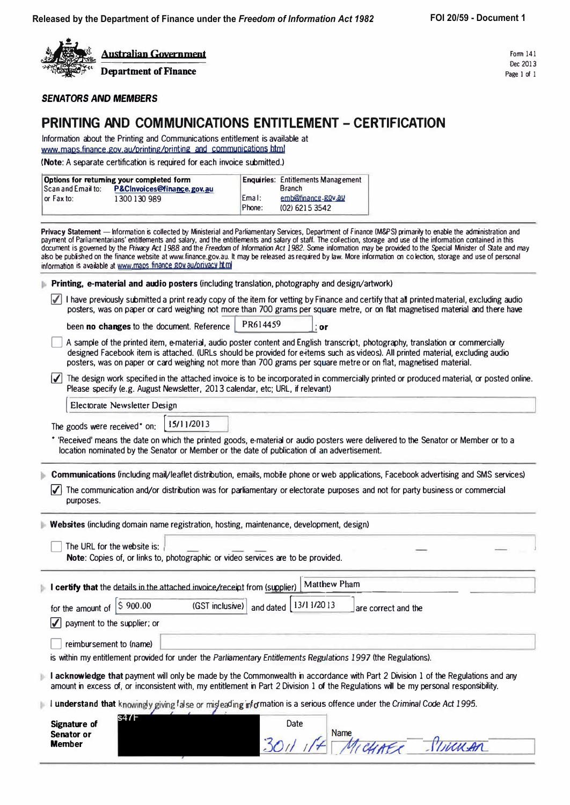

Form 141 Dec 2013 Page 1 of 1

**SENATORS** *AND MEMBERS* 

### **PRINTING AND COMMUNICATIONS ENTITLEMENT - CERTIFICATION**

Information about the Printing and Communications entitlement is available at www.maps.finance.gov.au/printing/printing and communications.html

**(Note:** A separate certification is required for each invoice submitted.)

| Options for returning your completed form |                            |                    | <b>Enquiries: Entitlements Management</b> |
|-------------------------------------------|----------------------------|--------------------|-------------------------------------------|
| l Scan and Email to:                      | P&CInvoices@finance.gov.au |                    | <b>Branch</b>                             |
| or Fax to:                                | 1300 130 989               | Ema <sub>1</sub> : | emb@finance.gov.au                        |
|                                           |                            | Phone:             | (02) 6215 3542                            |

Privacy Statement - Information is collected by Ministerial and Parliamentary Services, Department of Finance (M&PS) primarily to enable the administration and payment of Parliamentarians' entitlements and salary, and the entitlements and salary of staff. The collection, storage and use of the information contained in this document is governed by the Privacy Act 1988 and the Freedom of Information Act 1982. Some information may be provided to the Special Minister of State and may also be published on the finance website at www.finance.gov.au. It may be released as required by law. More information on colection, storage and use of personal information is available at www.maps.finance.goy.au/orivacy html

**Printing, e-material and audio posters** (including translation, photography and design/artwork)

 $\sqrt{\phantom{a}}$  I have previously submitted a print ready copy of the item for vetting by Finance and certify that all printed material, excluding audio posters, was on paper or card weighing not more than 700 grams per square metre, or on flat magnetised material and there have

**been no changes to the document. Reference PR614459** : **or** 

- A sample of the printed item, e-material, audio poster content and English transcript, photography, translation or commercially designed Facebook item is attached. (URLs should be provided for e-items such as videos). All printed material, excluding audio posters, was on paper or card weighing not more than 700 grams per square metre or on flat, magnetised material.
- $|J|$  The design work specified in the attached invoice is to be incorporated in commercially printed or produced material, or posted online. Please specify (e.g. August Newsletter, 2013 calendar, etc; URL, if relevant)

**Electorate Newsletter Design** 

The goods were received<sup>\*</sup> on: **15/11/2013** 

• 'Received' means the date on which the printed goods, e-material or audio posters were delivered to the Senator or Member or to a location nominated by the Senator or Member or the date of publication of an advertisement.

**Communications** (including mail/leaflet distribution, emails, mobile phone or web applications, Facebook advertising and SMS services)

 $\vert\bm{\mathcal{S}}\vert$  The communication and/or distribution was for parliamentary or electorate purposes and not for party business or commercial purposes.

**Websites** (including domain name registration, hosting, maintenance, development, design)

The URL for the website is: **Note:** Copies of, or links to, photographic or video services are to be provided.

**I** certify that the details in the attached invoice/receipt from (supplier) Matthew Pham ==:::�=======--------

for the amount of  $\begin{bmatrix} 5 & 900.00 & (GST inclusive) \end{bmatrix}$  and dated  $\begin{bmatrix} 13/1 & 1/20 & 13 \end{bmatrix}$  are correct and the

 $\sqrt{}$  payment to the supplier; or

reimbursement to (name)

is within my entitlement provided for under the *Parliamentary Entitlements Regulations 1997* (the Regulations).

- I acknowledge that payment will only be made by the Commonwealth in accordance with Part 2 Division 1 of the Regulations and any amount in excess of, or inconsistent with, my entitlement in Part 2 Division 1 of the Regulations will be my personal responsibility.
- I understand that knowingly giving false or mişleading information is a serious offence under the *Criminal Code Act 1995*.

| Signature of<br>Senator or | s47F | Date | Name |
|----------------------------|------|------|------|
| <b>Member</b>              |      | 30.  | wwan |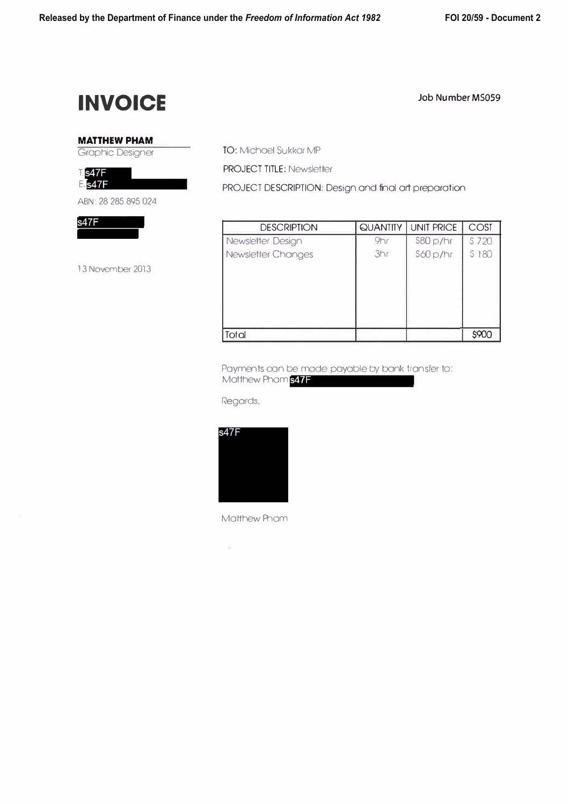## **INVOICE**

#### Job Number MS059

### **MATTHEW PHAM**

Graphic Designer

**T.** s47F **E.**s47F

ABN: 28 285 895 024

 $s47F$ 

13 November 2013

TO: Michael Sukkor MP

PROJECT TITLE: Newsletter

PROJECT DESCRIPTION: Design and final art preparation

| <b>DESCRIPTION</b> | <b>QUANTITY</b> | <b>UNIT PRICE</b> | COST  |  |
|--------------------|-----------------|-------------------|-------|--|
| Newsletter Design  | 9hr             | \$80 p/hr         | S 720 |  |
| Newsletter Changes | 3hr             | \$60p/hr          | S 180 |  |
| Total              |                 |                   | \$90C |  |

Payments oan be mode payable by bank transfer to: Matthew Phom 347F

Regards,



**Matthew Phom**